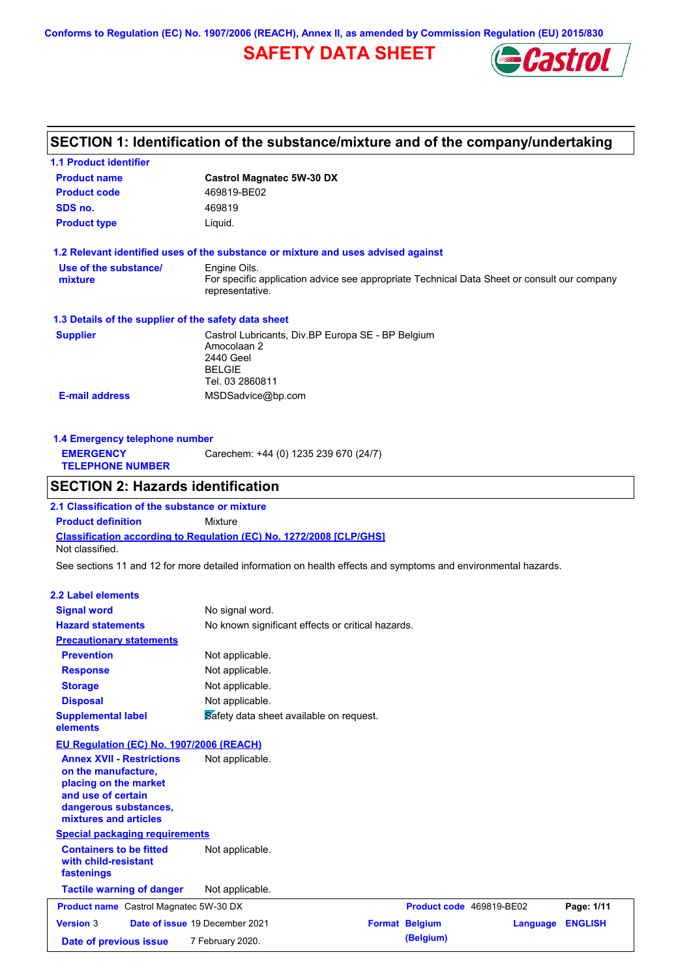**Conforms to Regulation (EC) No. 1907/2006 (REACH), Annex II, as amended by Commission Regulation (EU) 2015/830**

# **SAFETY DATA SHEET**



# **SECTION 1: Identification of the substance/mixture and of the company/undertaking**

| <b>1.1 Product identifier</b>                                                                                                                            |                                                                                                                   |                          |          |                |
|----------------------------------------------------------------------------------------------------------------------------------------------------------|-------------------------------------------------------------------------------------------------------------------|--------------------------|----------|----------------|
| <b>Product name</b>                                                                                                                                      | <b>Castrol Magnatec 5W-30 DX</b>                                                                                  |                          |          |                |
| <b>Product code</b>                                                                                                                                      | 469819-BE02                                                                                                       |                          |          |                |
| SDS no.                                                                                                                                                  | 469819                                                                                                            |                          |          |                |
| <b>Product type</b>                                                                                                                                      | Liquid.                                                                                                           |                          |          |                |
| 1.2 Relevant identified uses of the substance or mixture and uses advised against                                                                        |                                                                                                                   |                          |          |                |
| Use of the substance/                                                                                                                                    | Engine Oils.                                                                                                      |                          |          |                |
| mixture                                                                                                                                                  | For specific application advice see appropriate Technical Data Sheet or consult our company<br>representative.    |                          |          |                |
| 1.3 Details of the supplier of the safety data sheet                                                                                                     |                                                                                                                   |                          |          |                |
| <b>Supplier</b>                                                                                                                                          | Castrol Lubricants, Div.BP Europa SE - BP Belgium<br>Amocolaan 2<br>2440 Geel<br><b>BELGIE</b><br>Tel. 03 2860811 |                          |          |                |
| <b>E-mail address</b>                                                                                                                                    | MSDSadvice@bp.com                                                                                                 |                          |          |                |
|                                                                                                                                                          |                                                                                                                   |                          |          |                |
| 1.4 Emergency telephone number<br><b>EMERGENCY</b>                                                                                                       | Carechem: +44 (0) 1235 239 670 (24/7)                                                                             |                          |          |                |
| <b>TELEPHONE NUMBER</b>                                                                                                                                  |                                                                                                                   |                          |          |                |
| <b>SECTION 2: Hazards identification</b>                                                                                                                 |                                                                                                                   |                          |          |                |
| 2.1 Classification of the substance or mixture                                                                                                           |                                                                                                                   |                          |          |                |
| <b>Product definition</b>                                                                                                                                | Mixture                                                                                                           |                          |          |                |
| Classification according to Regulation (EC) No. 1272/2008 [CLP/GHS]<br>Not classified.                                                                   |                                                                                                                   |                          |          |                |
| See sections 11 and 12 for more detailed information on health effects and symptoms and environmental hazards.                                           |                                                                                                                   |                          |          |                |
| <b>2.2 Label elements</b>                                                                                                                                |                                                                                                                   |                          |          |                |
| <b>Signal word</b>                                                                                                                                       | No signal word.                                                                                                   |                          |          |                |
| <b>Hazard statements</b>                                                                                                                                 | No known significant effects or critical hazards.                                                                 |                          |          |                |
| <b>Precautionary statements</b>                                                                                                                          |                                                                                                                   |                          |          |                |
| <b>Prevention</b>                                                                                                                                        | Not applicable.                                                                                                   |                          |          |                |
| <b>Response</b>                                                                                                                                          | Not applicable.                                                                                                   |                          |          |                |
| <b>Storage</b>                                                                                                                                           | Not applicable.                                                                                                   |                          |          |                |
| <b>Disposal</b>                                                                                                                                          | Not applicable.                                                                                                   |                          |          |                |
| <b>Supplemental label</b><br>elements                                                                                                                    | Safety data sheet available on request.                                                                           |                          |          |                |
| <b>EU Regulation (EC) No. 1907/2006 (REACH)</b>                                                                                                          |                                                                                                                   |                          |          |                |
| <b>Annex XVII - Restrictions</b><br>on the manufacture,<br>placing on the market<br>and use of certain<br>dangerous substances,<br>mixtures and articles | Not applicable.                                                                                                   |                          |          |                |
| <b>Special packaging requirements</b>                                                                                                                    |                                                                                                                   |                          |          |                |
| <b>Containers to be fitted</b><br>with child-resistant<br>fastenings                                                                                     | Not applicable.                                                                                                   |                          |          |                |
| <b>Tactile warning of danger</b>                                                                                                                         | Not applicable.                                                                                                   |                          |          |                |
| <b>Product name</b> Castrol Magnatec 5W-30 DX                                                                                                            |                                                                                                                   | Product code 469819-BE02 |          | Page: 1/11     |
| <b>Version 3</b>                                                                                                                                         | Date of issue 19 December 2021                                                                                    | <b>Format Belgium</b>    | Language | <b>ENGLISH</b> |
| Date of previous issue                                                                                                                                   | 7 February 2020.                                                                                                  | (Belgium)                |          |                |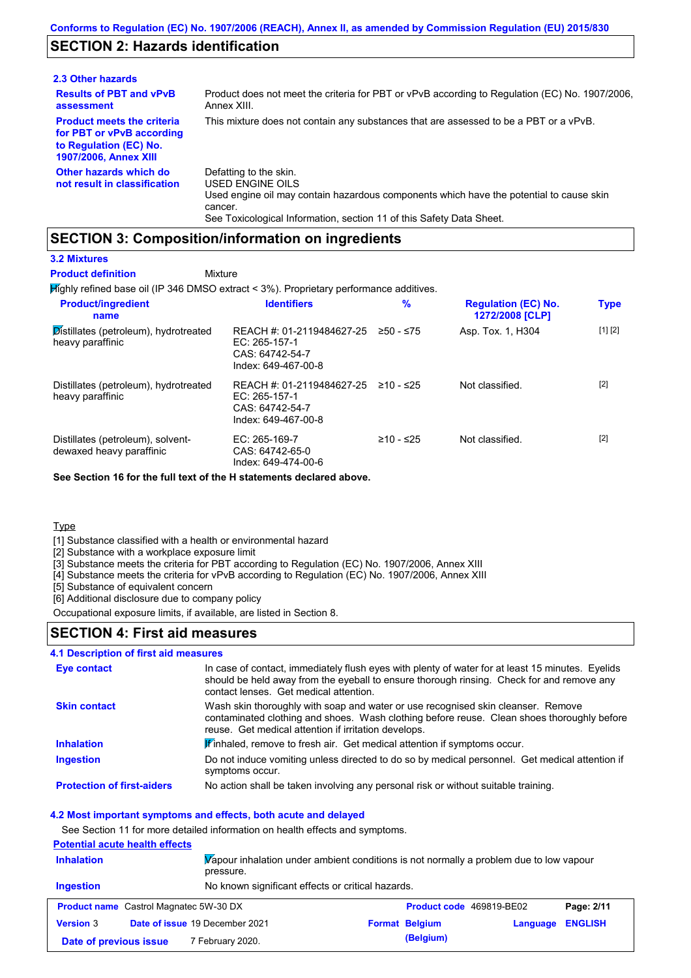### **SECTION 2: Hazards identification**

| 2.3 Other hazards                                                                                                        |                                                                                                                                                                                                                          |
|--------------------------------------------------------------------------------------------------------------------------|--------------------------------------------------------------------------------------------------------------------------------------------------------------------------------------------------------------------------|
| <b>Results of PBT and vPvB</b><br>assessment                                                                             | Product does not meet the criteria for PBT or vPvB according to Regulation (EC) No. 1907/2006,<br>Annex XIII.                                                                                                            |
| <b>Product meets the criteria</b><br>for PBT or vPvB according<br>to Regulation (EC) No.<br><b>1907/2006, Annex XIII</b> | This mixture does not contain any substances that are assessed to be a PBT or a vPvB.                                                                                                                                    |
| Other hazards which do<br>not result in classification                                                                   | Defatting to the skin.<br>USED ENGINE OILS<br>Used engine oil may contain hazardous components which have the potential to cause skin<br>cancer.<br>See Toxicological Information, section 11 of this Safety Data Sheet. |

### **SECTION 3: Composition/information on ingredients**

Mixture

#### **3.2 Mixtures**

**Product definition**

Highly refined base oil (IP 346 DMSO extract < 3%). Proprietary performance additives.

| <b>Product/ingredient</b><br>name                             | <b>Identifiers</b>                                                                     | $\%$        | <b>Regulation (EC) No.</b><br>1272/2008 [CLP] | <b>Type</b> |
|---------------------------------------------------------------|----------------------------------------------------------------------------------------|-------------|-----------------------------------------------|-------------|
| Distillates (petroleum), hydrotreated<br>heavy paraffinic     | REACH #: 01-2119484627-25<br>$EC: 265-157-1$<br>CAS: 64742-54-7<br>Index: 649-467-00-8 | $≥50 - ≤75$ | Asp. Tox. 1, H304                             | [1] [2]     |
| Distillates (petroleum), hydrotreated<br>heavy paraffinic     | REACH #: 01-2119484627-25<br>EC: $265-157-1$<br>CAS: 64742-54-7<br>Index: 649-467-00-8 | $≥10 - ≤25$ | Not classified.                               | $[2]$       |
| Distillates (petroleum), solvent-<br>dewaxed heavy paraffinic | $EC: 265-169-7$<br>CAS: 64742-65-0<br>Index: 649-474-00-6                              | ≥10 - ≤25   | Not classified.                               | $[2]$       |

**See Section 16 for the full text of the H statements declared above.**

#### **Type**

[1] Substance classified with a health or environmental hazard

[2] Substance with a workplace exposure limit

- [3] Substance meets the criteria for PBT according to Regulation (EC) No. 1907/2006, Annex XIII
- [4] Substance meets the criteria for vPvB according to Regulation (EC) No. 1907/2006, Annex XIII

[5] Substance of equivalent concern

[6] Additional disclosure due to company policy

Occupational exposure limits, if available, are listed in Section 8.

### **SECTION 4: First aid measures**

#### **4.1 Description of first aid measures**

| Eye contact                       | In case of contact, immediately flush eyes with plenty of water for at least 15 minutes. Eyelids<br>should be held away from the eyeball to ensure thorough rinsing. Check for and remove any<br>contact lenses. Get medical attention. |
|-----------------------------------|-----------------------------------------------------------------------------------------------------------------------------------------------------------------------------------------------------------------------------------------|
| <b>Skin contact</b>               | Wash skin thoroughly with soap and water or use recognised skin cleanser. Remove<br>contaminated clothing and shoes. Wash clothing before reuse. Clean shoes thoroughly before<br>reuse. Get medical attention if irritation develops.  |
| <b>Inhalation</b>                 | <b>If</b> inhaled, remove to fresh air. Get medical attention if symptoms occur.                                                                                                                                                        |
| <b>Ingestion</b>                  | Do not induce vomiting unless directed to do so by medical personnel. Get medical attention if<br>symptoms occur.                                                                                                                       |
| <b>Protection of first-aiders</b> | No action shall be taken involving any personal risk or without suitable training.                                                                                                                                                      |

#### **4.2 Most important symptoms and effects, both acute and delayed**

See Section 11 for more detailed information on health effects and symptoms.

| <b>Potential acute health effects</b> |                                                        |
|---------------------------------------|--------------------------------------------------------|
| <b>Inhalation</b>                     | Vapour inhalation under ambient conditions is not norm |

**Date of previous issue** 7 February 2020.

| <b>Inhalation</b> | pressure.                                     | Vapour inhalation under ambient conditions is not normally a problem due to low vapour |                          |                         |            |  |  |
|-------------------|-----------------------------------------------|----------------------------------------------------------------------------------------|--------------------------|-------------------------|------------|--|--|
| <b>Ingestion</b>  |                                               | No known significant effects or critical hazards.                                      |                          |                         |            |  |  |
|                   | <b>Product name</b> Castrol Magnatec 5W-30 DX |                                                                                        | Product code 469819-BE02 |                         | Page: 2/11 |  |  |
| <b>Version 3</b>  | Date of issue 19 December 2021                |                                                                                        | <b>Format Belgium</b>    | <b>Language ENGLISH</b> |            |  |  |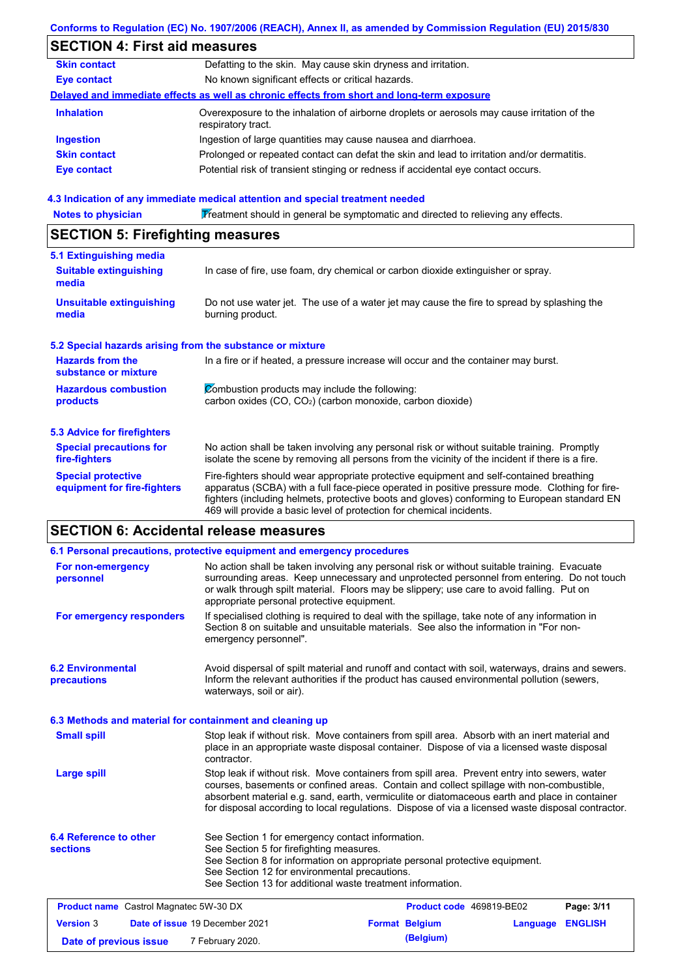|                                                           | Conforms to Regulation (EC) No. 1907/2006 (REACH), Annex II, as amended by Commission Regulation (EU) 2015/830                                                                                                                                                                                                                                                    |
|-----------------------------------------------------------|-------------------------------------------------------------------------------------------------------------------------------------------------------------------------------------------------------------------------------------------------------------------------------------------------------------------------------------------------------------------|
| <b>SECTION 4: First aid measures</b>                      |                                                                                                                                                                                                                                                                                                                                                                   |
| <b>Skin contact</b>                                       | Defatting to the skin. May cause skin dryness and irritation.                                                                                                                                                                                                                                                                                                     |
| <b>Eye contact</b>                                        | No known significant effects or critical hazards.                                                                                                                                                                                                                                                                                                                 |
|                                                           | Delayed and immediate effects as well as chronic effects from short and long-term exposure                                                                                                                                                                                                                                                                        |
| <b>Inhalation</b>                                         | Overexposure to the inhalation of airborne droplets or aerosols may cause irritation of the<br>respiratory tract.                                                                                                                                                                                                                                                 |
| <b>Ingestion</b>                                          | Ingestion of large quantities may cause nausea and diarrhoea.                                                                                                                                                                                                                                                                                                     |
| <b>Skin contact</b>                                       | Prolonged or repeated contact can defat the skin and lead to irritation and/or dermatitis.                                                                                                                                                                                                                                                                        |
| <b>Eye contact</b>                                        | Potential risk of transient stinging or redness if accidental eye contact occurs.                                                                                                                                                                                                                                                                                 |
|                                                           | 4.3 Indication of any immediate medical attention and special treatment needed                                                                                                                                                                                                                                                                                    |
| <b>Notes to physician</b>                                 | Treatment should in general be symptomatic and directed to relieving any effects.                                                                                                                                                                                                                                                                                 |
| <b>SECTION 5: Firefighting measures</b>                   |                                                                                                                                                                                                                                                                                                                                                                   |
| 5.1 Extinguishing media                                   |                                                                                                                                                                                                                                                                                                                                                                   |
| <b>Suitable extinguishing</b><br>media                    | In case of fire, use foam, dry chemical or carbon dioxide extinguisher or spray.                                                                                                                                                                                                                                                                                  |
| <b>Unsuitable extinguishing</b><br>media                  | Do not use water jet. The use of a water jet may cause the fire to spread by splashing the<br>burning product.                                                                                                                                                                                                                                                    |
| 5.2 Special hazards arising from the substance or mixture |                                                                                                                                                                                                                                                                                                                                                                   |
| <b>Hazards from the</b><br>substance or mixture           | In a fire or if heated, a pressure increase will occur and the container may burst.                                                                                                                                                                                                                                                                               |
| <b>Hazardous combustion</b><br>products                   | Combustion products may include the following:<br>carbon oxides (CO, CO2) (carbon monoxide, carbon dioxide)                                                                                                                                                                                                                                                       |
| <b>5.3 Advice for firefighters</b>                        |                                                                                                                                                                                                                                                                                                                                                                   |
| <b>Special precautions for</b><br>fire-fighters           | No action shall be taken involving any personal risk or without suitable training. Promptly<br>isolate the scene by removing all persons from the vicinity of the incident if there is a fire.                                                                                                                                                                    |
| <b>Special protective</b><br>equipment for fire-fighters  | Fire-fighters should wear appropriate protective equipment and self-contained breathing<br>apparatus (SCBA) with a full face-piece operated in positive pressure mode. Clothing for fire-<br>fighters (including helmets, protective boots and gloves) conforming to European standard EN<br>469 will provide a basic level of protection for chemical incidents. |

|                                                  | 6.1 Personal precautions, protective equipment and emergency procedures                                                                                                                                                                                                                                                                                                                                                                                                                                                                                 |  |                          |          |                |
|--------------------------------------------------|---------------------------------------------------------------------------------------------------------------------------------------------------------------------------------------------------------------------------------------------------------------------------------------------------------------------------------------------------------------------------------------------------------------------------------------------------------------------------------------------------------------------------------------------------------|--|--------------------------|----------|----------------|
| For non-emergency<br>personnel                   | No action shall be taken involving any personal risk or without suitable training. Evacuate<br>surrounding areas. Keep unnecessary and unprotected personnel from entering. Do not touch<br>or walk through spilt material. Floors may be slippery; use care to avoid falling. Put on<br>appropriate personal protective equipment.<br>If specialised clothing is required to deal with the spillage, take note of any information in<br>Section 8 on suitable and unsuitable materials. See also the information in "For non-<br>emergency personnel". |  |                          |          |                |
| For emergency responders                         |                                                                                                                                                                                                                                                                                                                                                                                                                                                                                                                                                         |  |                          |          |                |
| <b>6.2 Environmental</b><br>precautions          | Avoid dispersal of spilt material and runoff and contact with soil, waterways, drains and sewers.<br>Inform the relevant authorities if the product has caused environmental pollution (sewers,<br>waterways, soil or air).                                                                                                                                                                                                                                                                                                                             |  |                          |          |                |
|                                                  | 6.3 Methods and material for containment and cleaning up                                                                                                                                                                                                                                                                                                                                                                                                                                                                                                |  |                          |          |                |
| <b>Small spill</b>                               | Stop leak if without risk. Move containers from spill area. Absorb with an inert material and<br>place in an appropriate waste disposal container. Dispose of via a licensed waste disposal                                                                                                                                                                                                                                                                                                                                                             |  |                          |          |                |
| <b>Large spill</b>                               | Stop leak if without risk. Move containers from spill area. Prevent entry into sewers, water<br>courses, basements or confined areas. Contain and collect spillage with non-combustible,<br>absorbent material e.g. sand, earth, vermiculite or diatomaceous earth and place in container<br>for disposal according to local regulations. Dispose of via a licensed waste disposal contractor.                                                                                                                                                          |  |                          |          |                |
| <b>6.4 Reference to other</b><br><b>sections</b> | See Section 1 for emergency contact information.<br>See Section 5 for firefighting measures.<br>See Section 8 for information on appropriate personal protective equipment.<br>See Section 12 for environmental precautions.<br>See Section 13 for additional waste treatment information.                                                                                                                                                                                                                                                              |  |                          |          |                |
| <b>Product name</b> Castrol Magnatec 5W-30 DX    |                                                                                                                                                                                                                                                                                                                                                                                                                                                                                                                                                         |  | Product code 469819-BE02 |          | Page: 3/11     |
| <b>Version 3</b>                                 | Date of issue 19 December 2021                                                                                                                                                                                                                                                                                                                                                                                                                                                                                                                          |  | <b>Format Belgium</b>    | Language | <b>ENGLISH</b> |
| Date of previous issue                           | 7 February 2020.                                                                                                                                                                                                                                                                                                                                                                                                                                                                                                                                        |  | (Belgium)                |          |                |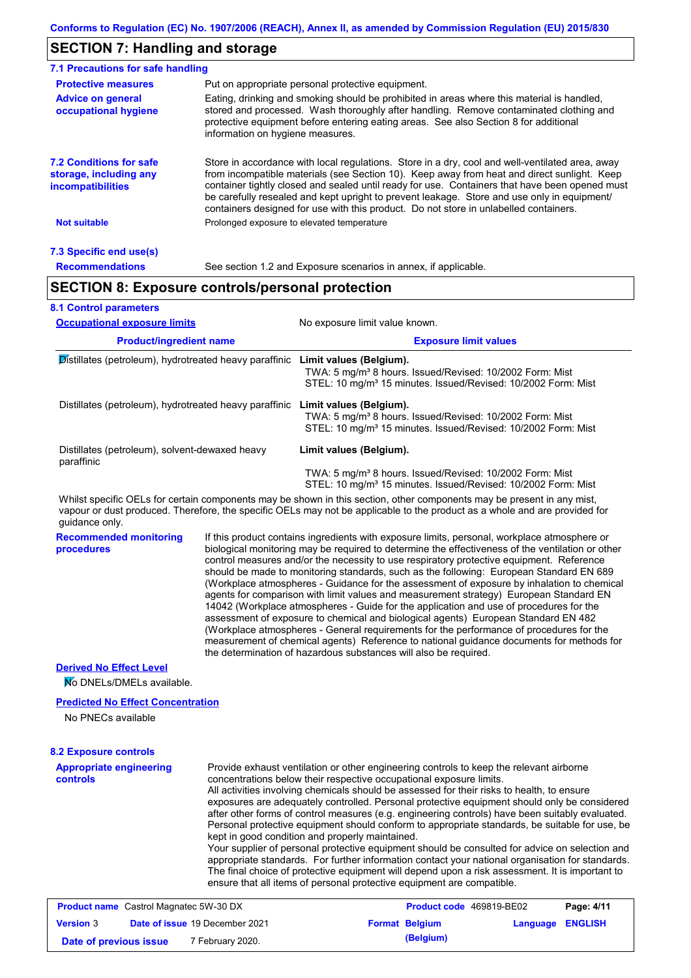# **SECTION 7: Handling and storage**

| 7.1 Precautions for safe handling                                                                                                                                                                                                                                                                                                                                                                                                                                                                                                                                                |                                                                                                                                                                                                                                                                                                                                                                                                                                                                                                                                                                                                                                                                                                                                                                                                                                                            |  |  |  |  |  |  |
|----------------------------------------------------------------------------------------------------------------------------------------------------------------------------------------------------------------------------------------------------------------------------------------------------------------------------------------------------------------------------------------------------------------------------------------------------------------------------------------------------------------------------------------------------------------------------------|------------------------------------------------------------------------------------------------------------------------------------------------------------------------------------------------------------------------------------------------------------------------------------------------------------------------------------------------------------------------------------------------------------------------------------------------------------------------------------------------------------------------------------------------------------------------------------------------------------------------------------------------------------------------------------------------------------------------------------------------------------------------------------------------------------------------------------------------------------|--|--|--|--|--|--|
| <b>Protective measures</b>                                                                                                                                                                                                                                                                                                                                                                                                                                                                                                                                                       | Put on appropriate personal protective equipment.                                                                                                                                                                                                                                                                                                                                                                                                                                                                                                                                                                                                                                                                                                                                                                                                          |  |  |  |  |  |  |
| <b>Advice on general</b><br>occupational hygiene                                                                                                                                                                                                                                                                                                                                                                                                                                                                                                                                 | Eating, drinking and smoking should be prohibited in areas where this material is handled,<br>stored and processed. Wash thoroughly after handling. Remove contaminated clothing and<br>protective equipment before entering eating areas. See also Section 8 for additional<br>information on hygiene measures.                                                                                                                                                                                                                                                                                                                                                                                                                                                                                                                                           |  |  |  |  |  |  |
| <b>7.2 Conditions for safe</b><br>Store in accordance with local regulations. Store in a dry, cool and well-ventilated area, away<br>from incompatible materials (see Section 10). Keep away from heat and direct sunlight. Keep<br>storage, including any<br>container tightly closed and sealed until ready for use. Containers that have been opened must<br><i>incompatibilities</i><br>be carefully resealed and kept upright to prevent leakage. Store and use only in equipment/<br>containers designed for use with this product. Do not store in unlabelled containers. |                                                                                                                                                                                                                                                                                                                                                                                                                                                                                                                                                                                                                                                                                                                                                                                                                                                            |  |  |  |  |  |  |
| <b>Not suitable</b>                                                                                                                                                                                                                                                                                                                                                                                                                                                                                                                                                              | Prolonged exposure to elevated temperature                                                                                                                                                                                                                                                                                                                                                                                                                                                                                                                                                                                                                                                                                                                                                                                                                 |  |  |  |  |  |  |
| 7.3 Specific end use(s)                                                                                                                                                                                                                                                                                                                                                                                                                                                                                                                                                          |                                                                                                                                                                                                                                                                                                                                                                                                                                                                                                                                                                                                                                                                                                                                                                                                                                                            |  |  |  |  |  |  |
| <b>Recommendations</b>                                                                                                                                                                                                                                                                                                                                                                                                                                                                                                                                                           | See section 1.2 and Exposure scenarios in annex, if applicable.                                                                                                                                                                                                                                                                                                                                                                                                                                                                                                                                                                                                                                                                                                                                                                                            |  |  |  |  |  |  |
|                                                                                                                                                                                                                                                                                                                                                                                                                                                                                                                                                                                  | <b>SECTION 8: Exposure controls/personal protection</b>                                                                                                                                                                                                                                                                                                                                                                                                                                                                                                                                                                                                                                                                                                                                                                                                    |  |  |  |  |  |  |
| <b>8.1 Control parameters</b>                                                                                                                                                                                                                                                                                                                                                                                                                                                                                                                                                    |                                                                                                                                                                                                                                                                                                                                                                                                                                                                                                                                                                                                                                                                                                                                                                                                                                                            |  |  |  |  |  |  |
| <b>Occupational exposure limits</b>                                                                                                                                                                                                                                                                                                                                                                                                                                                                                                                                              | No exposure limit value known.                                                                                                                                                                                                                                                                                                                                                                                                                                                                                                                                                                                                                                                                                                                                                                                                                             |  |  |  |  |  |  |
| <b>Product/ingredient name</b>                                                                                                                                                                                                                                                                                                                                                                                                                                                                                                                                                   | <b>Exposure limit values</b>                                                                                                                                                                                                                                                                                                                                                                                                                                                                                                                                                                                                                                                                                                                                                                                                                               |  |  |  |  |  |  |
|                                                                                                                                                                                                                                                                                                                                                                                                                                                                                                                                                                                  | Distillates (petroleum), hydrotreated heavy paraffinic Limit values (Belgium).<br>TWA: 5 mg/m <sup>3</sup> 8 hours. Issued/Revised: 10/2002 Form: Mist<br>STEL: 10 mg/m <sup>3</sup> 15 minutes. Issued/Revised: 10/2002 Form: Mist                                                                                                                                                                                                                                                                                                                                                                                                                                                                                                                                                                                                                        |  |  |  |  |  |  |
|                                                                                                                                                                                                                                                                                                                                                                                                                                                                                                                                                                                  | Distillates (petroleum), hydrotreated heavy paraffinic Limit values (Belgium).<br>TWA: 5 mg/m <sup>3</sup> 8 hours. Issued/Revised: 10/2002 Form: Mist<br>STEL: 10 mg/m <sup>3</sup> 15 minutes. Issued/Revised: 10/2002 Form: Mist                                                                                                                                                                                                                                                                                                                                                                                                                                                                                                                                                                                                                        |  |  |  |  |  |  |
| Distillates (petroleum), solvent-dewaxed heavy<br>paraffinic                                                                                                                                                                                                                                                                                                                                                                                                                                                                                                                     | Limit values (Belgium).                                                                                                                                                                                                                                                                                                                                                                                                                                                                                                                                                                                                                                                                                                                                                                                                                                    |  |  |  |  |  |  |
|                                                                                                                                                                                                                                                                                                                                                                                                                                                                                                                                                                                  | TWA: 5 mg/m <sup>3</sup> 8 hours. Issued/Revised: 10/2002 Form: Mist<br>STEL: 10 mg/m <sup>3</sup> 15 minutes. Issued/Revised: 10/2002 Form: Mist                                                                                                                                                                                                                                                                                                                                                                                                                                                                                                                                                                                                                                                                                                          |  |  |  |  |  |  |
| guidance only.                                                                                                                                                                                                                                                                                                                                                                                                                                                                                                                                                                   | Whilst specific OELs for certain components may be shown in this section, other components may be present in any mist,<br>vapour or dust produced. Therefore, the specific OELs may not be applicable to the product as a whole and are provided for                                                                                                                                                                                                                                                                                                                                                                                                                                                                                                                                                                                                       |  |  |  |  |  |  |
| <b>Recommended monitoring</b><br>procedures                                                                                                                                                                                                                                                                                                                                                                                                                                                                                                                                      | If this product contains ingredients with exposure limits, personal, workplace atmosphere or<br>biological monitoring may be required to determine the effectiveness of the ventilation or other<br>control measures and/or the necessity to use respiratory protective equipment. Reference<br>should be made to monitoring standards, such as the following: European Standard EN 689<br>(Workplace atmospheres - Guidance for the assessment of exposure by inhalation to chemical<br>agents for comparison with limit values and measurement strategy) European Standard EN<br>14042 (Workplace atmospheres - Guide for the application and use of procedures for the<br>assessment of exposure to chemical and biological agents) European Standard EN 482<br>(Workplace atmospheres - General requirements for the performance of procedures for the |  |  |  |  |  |  |

#### **Derived No Effect Level**

No DNELs/DMELs available.

#### **Predicted No Effect Concentration**

No PNECs available

### **8.2 Exposure controls**

**Appropriate engineering controls**

Provide exhaust ventilation or other engineering controls to keep the relevant airborne concentrations below their respective occupational exposure limits.

measurement of chemical agents) Reference to national guidance documents for methods for

All activities involving chemicals should be assessed for their risks to health, to ensure exposures are adequately controlled. Personal protective equipment should only be considered after other forms of control measures (e.g. engineering controls) have been suitably evaluated. Personal protective equipment should conform to appropriate standards, be suitable for use, be kept in good condition and properly maintained.

Your supplier of personal protective equipment should be consulted for advice on selection and appropriate standards. For further information contact your national organisation for standards. The final choice of protective equipment will depend upon a risk assessment. It is important to ensure that all items of personal protective equipment are compatible.

| <b>Product name</b> Castrol Magnatec 5W-30 DX |  |                                       | Product code 469819-BE02 |                       | Page: 4/11              |  |
|-----------------------------------------------|--|---------------------------------------|--------------------------|-----------------------|-------------------------|--|
| <b>Version 3</b>                              |  | <b>Date of issue 19 December 2021</b> |                          | <b>Format Belgium</b> | <b>Language ENGLISH</b> |  |
| Date of previous issue                        |  | 7 February 2020.                      |                          | (Belgium)             |                         |  |

the determination of hazardous substances will also be required.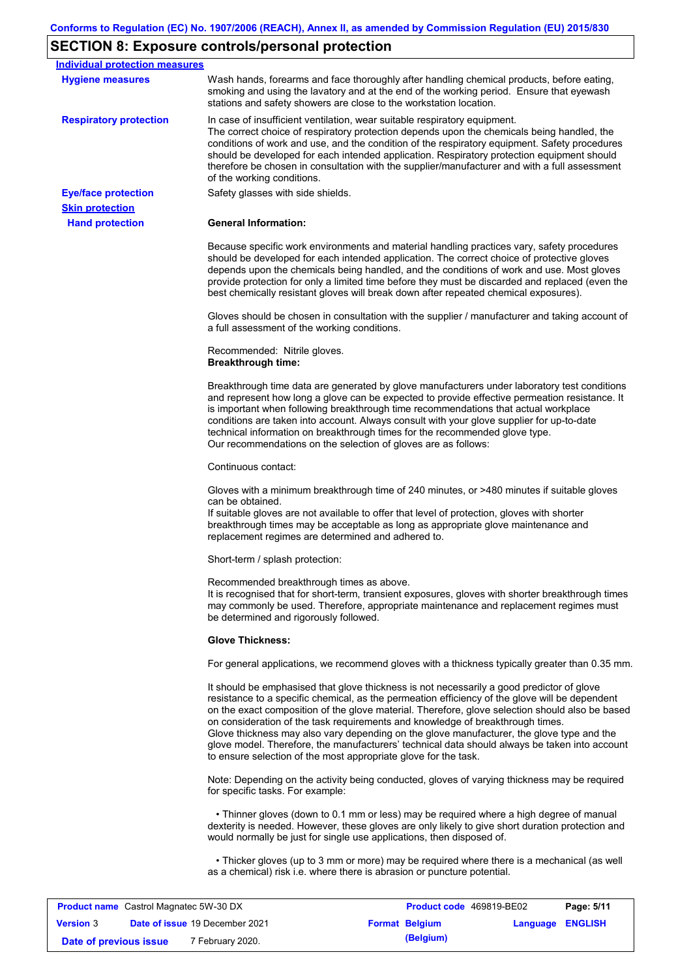# **SECTION 8: Exposure controls/personal protection**

| <b>Individual protection measures</b> |                                                                                                                                                                                                                                                                                                                                                                                                                                                                                                                                                                                                                                                   |
|---------------------------------------|---------------------------------------------------------------------------------------------------------------------------------------------------------------------------------------------------------------------------------------------------------------------------------------------------------------------------------------------------------------------------------------------------------------------------------------------------------------------------------------------------------------------------------------------------------------------------------------------------------------------------------------------------|
| <b>Hygiene measures</b>               | Wash hands, forearms and face thoroughly after handling chemical products, before eating,<br>smoking and using the lavatory and at the end of the working period. Ensure that eyewash<br>stations and safety showers are close to the workstation location.                                                                                                                                                                                                                                                                                                                                                                                       |
| <b>Respiratory protection</b>         | In case of insufficient ventilation, wear suitable respiratory equipment.<br>The correct choice of respiratory protection depends upon the chemicals being handled, the<br>conditions of work and use, and the condition of the respiratory equipment. Safety procedures<br>should be developed for each intended application. Respiratory protection equipment should<br>therefore be chosen in consultation with the supplier/manufacturer and with a full assessment<br>of the working conditions.                                                                                                                                             |
| <b>Eye/face protection</b>            | Safety glasses with side shields.                                                                                                                                                                                                                                                                                                                                                                                                                                                                                                                                                                                                                 |
| <b>Skin protection</b>                |                                                                                                                                                                                                                                                                                                                                                                                                                                                                                                                                                                                                                                                   |
| <b>Hand protection</b>                | <b>General Information:</b>                                                                                                                                                                                                                                                                                                                                                                                                                                                                                                                                                                                                                       |
|                                       | Because specific work environments and material handling practices vary, safety procedures<br>should be developed for each intended application. The correct choice of protective gloves<br>depends upon the chemicals being handled, and the conditions of work and use. Most gloves<br>provide protection for only a limited time before they must be discarded and replaced (even the<br>best chemically resistant gloves will break down after repeated chemical exposures).                                                                                                                                                                  |
|                                       | Gloves should be chosen in consultation with the supplier / manufacturer and taking account of<br>a full assessment of the working conditions.                                                                                                                                                                                                                                                                                                                                                                                                                                                                                                    |
|                                       | Recommended: Nitrile gloves.<br><b>Breakthrough time:</b>                                                                                                                                                                                                                                                                                                                                                                                                                                                                                                                                                                                         |
|                                       | Breakthrough time data are generated by glove manufacturers under laboratory test conditions<br>and represent how long a glove can be expected to provide effective permeation resistance. It<br>is important when following breakthrough time recommendations that actual workplace<br>conditions are taken into account. Always consult with your glove supplier for up-to-date<br>technical information on breakthrough times for the recommended glove type.<br>Our recommendations on the selection of gloves are as follows:                                                                                                                |
|                                       | Continuous contact:                                                                                                                                                                                                                                                                                                                                                                                                                                                                                                                                                                                                                               |
|                                       | Gloves with a minimum breakthrough time of 240 minutes, or >480 minutes if suitable gloves<br>can be obtained.<br>If suitable gloves are not available to offer that level of protection, gloves with shorter<br>breakthrough times may be acceptable as long as appropriate glove maintenance and<br>replacement regimes are determined and adhered to.                                                                                                                                                                                                                                                                                          |
|                                       | Short-term / splash protection:                                                                                                                                                                                                                                                                                                                                                                                                                                                                                                                                                                                                                   |
|                                       | Recommended breakthrough times as above.<br>It is recognised that for short-term, transient exposures, gloves with shorter breakthrough times<br>may commonly be used. Therefore, appropriate maintenance and replacement regimes must<br>be determined and rigorously followed.                                                                                                                                                                                                                                                                                                                                                                  |
|                                       | <b>Glove Thickness:</b>                                                                                                                                                                                                                                                                                                                                                                                                                                                                                                                                                                                                                           |
|                                       | For general applications, we recommend gloves with a thickness typically greater than 0.35 mm.                                                                                                                                                                                                                                                                                                                                                                                                                                                                                                                                                    |
|                                       | It should be emphasised that glove thickness is not necessarily a good predictor of glove<br>resistance to a specific chemical, as the permeation efficiency of the glove will be dependent<br>on the exact composition of the glove material. Therefore, glove selection should also be based<br>on consideration of the task requirements and knowledge of breakthrough times.<br>Glove thickness may also vary depending on the glove manufacturer, the glove type and the<br>glove model. Therefore, the manufacturers' technical data should always be taken into account<br>to ensure selection of the most appropriate glove for the task. |
|                                       | Note: Depending on the activity being conducted, gloves of varying thickness may be required<br>for specific tasks. For example:                                                                                                                                                                                                                                                                                                                                                                                                                                                                                                                  |
|                                       | • Thinner gloves (down to 0.1 mm or less) may be required where a high degree of manual<br>dexterity is needed. However, these gloves are only likely to give short duration protection and<br>would normally be just for single use applications, then disposed of.                                                                                                                                                                                                                                                                                                                                                                              |
|                                       | • Thicker gloves (up to 3 mm or more) may be required where there is a mechanical (as well<br>as a chemical) risk i.e. where there is abrasion or puncture potential.                                                                                                                                                                                                                                                                                                                                                                                                                                                                             |
|                                       |                                                                                                                                                                                                                                                                                                                                                                                                                                                                                                                                                                                                                                                   |

| <b>Product name</b> Castrol Magnatec 5W-30 DX |  |                                       | <b>Product code</b> 469819-BE02 |                       | Page: 5/11              |  |
|-----------------------------------------------|--|---------------------------------------|---------------------------------|-----------------------|-------------------------|--|
| <b>Version 3</b>                              |  | <b>Date of issue 19 December 2021</b> |                                 | <b>Format Belgium</b> | <b>Language ENGLISH</b> |  |
| Date of previous issue                        |  | <sup>7</sup> February 2020.           |                                 | (Belgium)             |                         |  |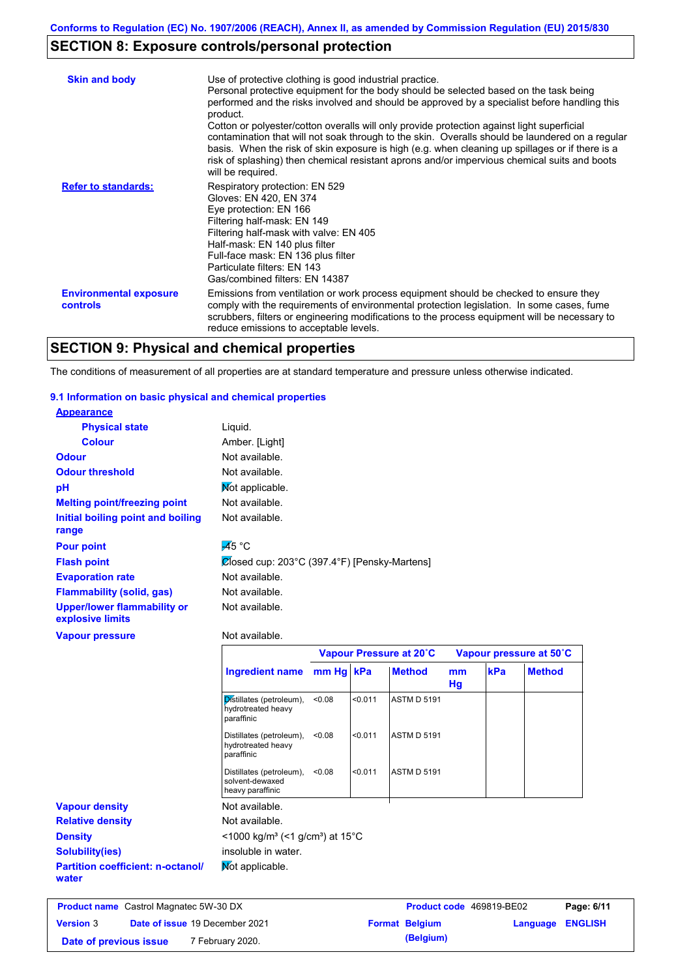# **SECTION 8: Exposure controls/personal protection**

| <b>Skin and body</b>                             | Use of protective clothing is good industrial practice.<br>Personal protective equipment for the body should be selected based on the task being<br>performed and the risks involved and should be approved by a specialist before handling this<br>product.<br>Cotton or polyester/cotton overalls will only provide protection against light superficial<br>contamination that will not soak through to the skin. Overalls should be laundered on a regular<br>basis. When the risk of skin exposure is high (e.g. when cleaning up spillages or if there is a<br>risk of splashing) then chemical resistant aprons and/or impervious chemical suits and boots<br>will be required. |
|--------------------------------------------------|---------------------------------------------------------------------------------------------------------------------------------------------------------------------------------------------------------------------------------------------------------------------------------------------------------------------------------------------------------------------------------------------------------------------------------------------------------------------------------------------------------------------------------------------------------------------------------------------------------------------------------------------------------------------------------------|
| <b>Refer to standards:</b>                       | Respiratory protection: EN 529<br>Gloves: EN 420, EN 374<br>Eye protection: EN 166<br>Filtering half-mask: EN 149<br>Filtering half-mask with valve: EN 405<br>Half-mask: EN 140 plus filter<br>Full-face mask: EN 136 plus filter<br>Particulate filters: EN 143<br>Gas/combined filters: EN 14387                                                                                                                                                                                                                                                                                                                                                                                   |
| <b>Environmental exposure</b><br><b>controls</b> | Emissions from ventilation or work process equipment should be checked to ensure they<br>comply with the requirements of environmental protection legislation. In some cases, fume<br>scrubbers, filters or engineering modifications to the process equipment will be necessary to<br>reduce emissions to acceptable levels.                                                                                                                                                                                                                                                                                                                                                         |

## **SECTION 9: Physical and chemical properties**

The conditions of measurement of all properties are at standard temperature and pressure unless otherwise indicated.

#### **9.1 Information on basic physical and chemical properties**

| <b>Appearance</b>                                      |                                                              |           |         |                         |          |     |                         |
|--------------------------------------------------------|--------------------------------------------------------------|-----------|---------|-------------------------|----------|-----|-------------------------|
| <b>Physical state</b>                                  | Liquid.                                                      |           |         |                         |          |     |                         |
| <b>Colour</b>                                          | Amber. [Light]                                               |           |         |                         |          |     |                         |
| <b>Odour</b>                                           | Not available.                                               |           |         |                         |          |     |                         |
| <b>Odour threshold</b>                                 | Not available.                                               |           |         |                         |          |     |                         |
| pH                                                     | Mot applicable.                                              |           |         |                         |          |     |                         |
| <b>Melting point/freezing point</b>                    | Not available.                                               |           |         |                         |          |     |                         |
| Initial boiling point and boiling<br>range             | Not available.                                               |           |         |                         |          |     |                         |
| <b>Pour point</b>                                      | $\overline{A}$ 5 °C                                          |           |         |                         |          |     |                         |
| <b>Flash point</b>                                     | Closed cup: 203°C (397.4°F) [Pensky-Martens]                 |           |         |                         |          |     |                         |
| <b>Evaporation rate</b>                                | Not available.                                               |           |         |                         |          |     |                         |
| <b>Flammability (solid, gas)</b>                       | Not available.                                               |           |         |                         |          |     |                         |
| <b>Upper/lower flammability or</b><br>explosive limits | Not available.                                               |           |         |                         |          |     |                         |
| <b>Vapour pressure</b>                                 | Not available.                                               |           |         |                         |          |     |                         |
|                                                        |                                                              |           |         | Vapour Pressure at 20°C |          |     | Vapour pressure at 50°C |
|                                                        | <b>Ingredient name</b>                                       | mm Hg kPa |         | <b>Method</b>           | mm<br>Hg | kPa | <b>Method</b>           |
|                                                        | Distillates (petroleum),<br>hydrotreated heavy<br>paraffinic | < 0.08    | < 0.011 | <b>ASTM D 5191</b>      |          |     |                         |

**Relative density Vapour density** Not available. Not available. **Not applicable. Partition coefficient: n-octanol/ water Density** <1000 kg/m<sup>3</sup> (<1 g/cm<sup>3</sup>) at 15°C **Solubility(ies)** insoluble in water. **Product name**

Distillates (petroleum), <0.08 hydrotreated heavy paraffinic

Distillates (petroleum), <0.08

solvent-dewaxed heavy paraffinic

| <b>Product name</b> Castrol Magnatec 5W-30 DX |  | <b>Product code</b> 469819-BE02       |  | Page: 6/11            |                         |  |
|-----------------------------------------------|--|---------------------------------------|--|-----------------------|-------------------------|--|
| <b>Version 3</b>                              |  | <b>Date of issue 19 December 2021</b> |  | <b>Format Belgium</b> | <b>Language ENGLISH</b> |  |
| Date of previous issue                        |  | 7 February 2020.                      |  | (Belgium)             |                         |  |

<0.08 <0.011 ASTM D 5191

<0.08 <0.011 ASTM D 5191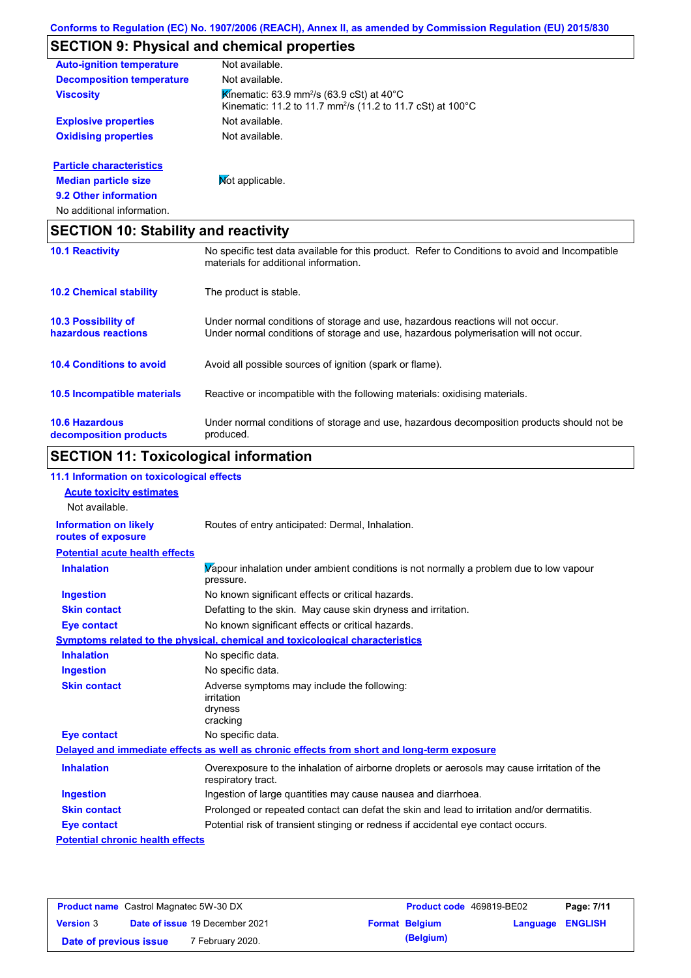# **SECTION 9: Physical and chemical properties**

| <b>Auto-ignition temperature</b> | Not available.                                                                                                                             |
|----------------------------------|--------------------------------------------------------------------------------------------------------------------------------------------|
| <b>Decomposition temperature</b> | Not available.                                                                                                                             |
| <b>Viscosity</b>                 | Kinematic: 63.9 mm <sup>2</sup> /s (63.9 cSt) at 40 $^{\circ}$ C<br>Kinematic: 11.2 to 11.7 mm <sup>2</sup> /s (11.2 to 11.7 cSt) at 100°C |
| <b>Explosive properties</b>      | Not available.                                                                                                                             |
| <b>Oxidising properties</b>      | Not available.                                                                                                                             |
| <b>Particle characteristics</b>  |                                                                                                                                            |
| <b>Median particle size</b>      | <b>Not applicable.</b>                                                                                                                     |

# **9.2 Other information**

No additional information.

|                                                   | <b>SECTION 10: Stability and reactivity</b>                                                                                                                             |  |  |  |
|---------------------------------------------------|-------------------------------------------------------------------------------------------------------------------------------------------------------------------------|--|--|--|
| <b>10.1 Reactivity</b>                            | No specific test data available for this product. Refer to Conditions to avoid and Incompatible<br>materials for additional information.                                |  |  |  |
| <b>10.2 Chemical stability</b>                    | The product is stable.                                                                                                                                                  |  |  |  |
| <b>10.3 Possibility of</b><br>hazardous reactions | Under normal conditions of storage and use, hazardous reactions will not occur.<br>Under normal conditions of storage and use, hazardous polymerisation will not occur. |  |  |  |
| <b>10.4 Conditions to avoid</b>                   | Avoid all possible sources of ignition (spark or flame).                                                                                                                |  |  |  |
| 10.5 Incompatible materials                       | Reactive or incompatible with the following materials: oxidising materials.                                                                                             |  |  |  |
| <b>10.6 Hazardous</b><br>decomposition products   | Under normal conditions of storage and use, hazardous decomposition products should not be<br>produced.                                                                 |  |  |  |

# **SECTION 11: Toxicological information**

| 11.1 Information on toxicological effects          |                                                                                                                   |
|----------------------------------------------------|-------------------------------------------------------------------------------------------------------------------|
| <b>Acute toxicity estimates</b>                    |                                                                                                                   |
| Not available.                                     |                                                                                                                   |
| <b>Information on likely</b><br>routes of exposure | Routes of entry anticipated: Dermal, Inhalation.                                                                  |
| <b>Potential acute health effects</b>              |                                                                                                                   |
| <b>Inhalation</b>                                  | Vapour inhalation under ambient conditions is not normally a problem due to low vapour<br>pressure.               |
| <b>Ingestion</b>                                   | No known significant effects or critical hazards.                                                                 |
| <b>Skin contact</b>                                | Defatting to the skin. May cause skin dryness and irritation.                                                     |
| <b>Eye contact</b>                                 | No known significant effects or critical hazards.                                                                 |
|                                                    | Symptoms related to the physical, chemical and toxicological characteristics                                      |
| <b>Inhalation</b>                                  | No specific data.                                                                                                 |
| <b>Ingestion</b>                                   | No specific data.                                                                                                 |
| <b>Skin contact</b>                                | Adverse symptoms may include the following:<br>irritation<br>dryness<br>cracking                                  |
| <b>Eye contact</b>                                 | No specific data.                                                                                                 |
|                                                    | Delayed and immediate effects as well as chronic effects from short and long-term exposure                        |
| <b>Inhalation</b>                                  | Overexposure to the inhalation of airborne droplets or aerosols may cause irritation of the<br>respiratory tract. |
| <b>Ingestion</b>                                   | Ingestion of large quantities may cause nausea and diarrhoea.                                                     |
| <b>Skin contact</b>                                | Prolonged or repeated contact can defat the skin and lead to irritation and/or dermatitis.                        |
| <b>Eye contact</b>                                 | Potential risk of transient stinging or redness if accidental eye contact occurs.                                 |
| <b>Potential chronic health effects</b>            |                                                                                                                   |
|                                                    |                                                                                                                   |

| <b>Product name</b> Castrol Magnatec 5W-30 DX |  | <b>Product code</b> 469819-BE02       |  | Page: 7/11            |                         |  |
|-----------------------------------------------|--|---------------------------------------|--|-----------------------|-------------------------|--|
| <b>Version 3</b>                              |  | <b>Date of issue 19 December 2021</b> |  | <b>Format Belgium</b> | <b>Language ENGLISH</b> |  |
| Date of previous issue                        |  | 7 February 2020.                      |  | (Belgium)             |                         |  |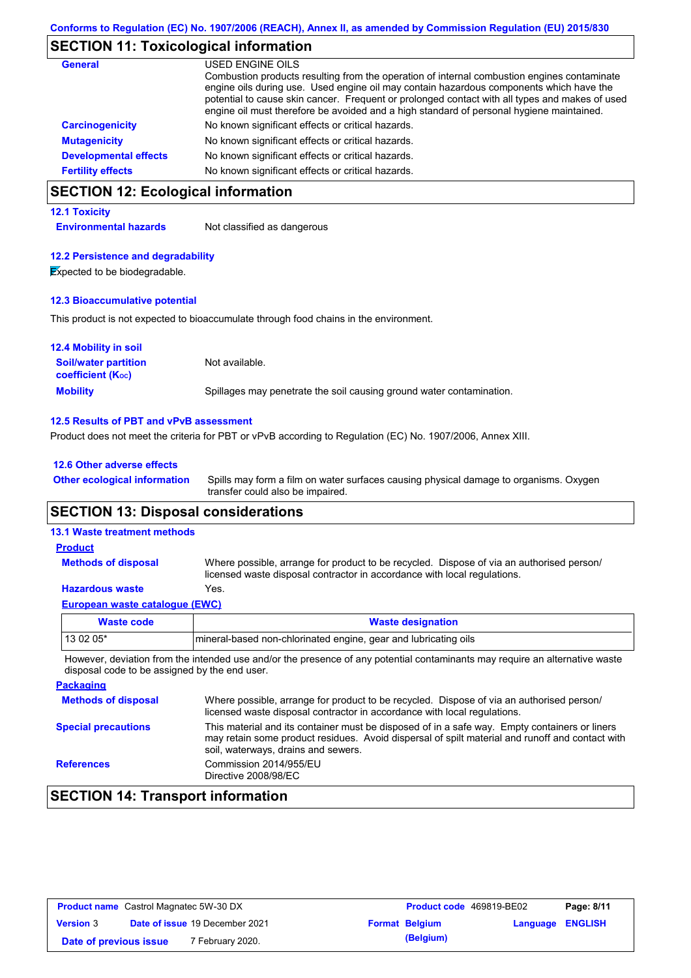### **SECTION 11: Toxicological information**

| <b>General</b>               | USED ENGINE OILS                                                                                                                                                                                                                                                                                                                                                                     |
|------------------------------|--------------------------------------------------------------------------------------------------------------------------------------------------------------------------------------------------------------------------------------------------------------------------------------------------------------------------------------------------------------------------------------|
|                              | Combustion products resulting from the operation of internal combustion engines contaminate<br>engine oils during use. Used engine oil may contain hazardous components which have the<br>potential to cause skin cancer. Frequent or prolonged contact with all types and makes of used<br>engine oil must therefore be avoided and a high standard of personal hygiene maintained. |
| <b>Carcinogenicity</b>       | No known significant effects or critical hazards.                                                                                                                                                                                                                                                                                                                                    |
| <b>Mutagenicity</b>          | No known significant effects or critical hazards.                                                                                                                                                                                                                                                                                                                                    |
| <b>Developmental effects</b> | No known significant effects or critical hazards.                                                                                                                                                                                                                                                                                                                                    |
| <b>Fertility effects</b>     | No known significant effects or critical hazards.                                                                                                                                                                                                                                                                                                                                    |

# **SECTION 12: Ecological information**

#### **12.1 Toxicity**

**Environmental hazards** Not classified as dangerous

#### **12.2 Persistence and degradability**

**Expected to be biodegradable.** 

#### **12.3 Bioaccumulative potential**

This product is not expected to bioaccumulate through food chains in the environment.

| <b>12.4 Mobility in soil</b>                            |                                                                      |
|---------------------------------------------------------|----------------------------------------------------------------------|
| <b>Soil/water partition</b><br><b>coefficient (Koc)</b> | Not available.                                                       |
| <b>Mobility</b>                                         | Spillages may penetrate the soil causing ground water contamination. |

#### **12.5 Results of PBT and vPvB assessment**

Product does not meet the criteria for PBT or vPvB according to Regulation (EC) No. 1907/2006, Annex XIII.

#### **12.6 Other adverse effects**

Spills may form a film on water surfaces causing physical damage to organisms. Oxygen transfer could also be impaired. **Other ecological information**

### **SECTION 13: Disposal considerations**

#### **13.1 Waste treatment methods**

#### Where possible, arrange for product to be recycled. Dispose of via an authorised person/ licensed waste disposal contractor in accordance with local regulations. **Methods of disposal Product**

### **Hazardous waste** Yes.

| European waste cataloque (EWC) |                                                                  |
|--------------------------------|------------------------------------------------------------------|
| Waste code                     | <b>Waste designation</b>                                         |
| l 13 02 05*                    | Imineral-based non-chlorinated engine, gear and lubricating oils |

However, deviation from the intended use and/or the presence of any potential contaminants may require an alternative waste disposal code to be assigned by the end user.

| <b>Packaging</b>           |                                                                                                                                                                                                                                         |
|----------------------------|-----------------------------------------------------------------------------------------------------------------------------------------------------------------------------------------------------------------------------------------|
| <b>Methods of disposal</b> | Where possible, arrange for product to be recycled. Dispose of via an authorised person/<br>licensed waste disposal contractor in accordance with local regulations.                                                                    |
| <b>Special precautions</b> | This material and its container must be disposed of in a safe way. Empty containers or liners<br>may retain some product residues. Avoid dispersal of spilt material and runoff and contact with<br>soil, waterways, drains and sewers. |
| <b>References</b>          | Commission 2014/955/EU<br>Directive 2008/98/EC                                                                                                                                                                                          |

### **SECTION 14: Transport information**

| <b>Product name</b> Castrol Magnatec 5W-30 DX |  |                                       | <b>Product code</b> 469819-BE02 |                       | Page: 8/11              |  |
|-----------------------------------------------|--|---------------------------------------|---------------------------------|-----------------------|-------------------------|--|
| <b>Version 3</b>                              |  | <b>Date of issue 19 December 2021</b> |                                 | <b>Format Belgium</b> | <b>Language ENGLISH</b> |  |
| Date of previous issue                        |  | <sup>7</sup> February 2020.           |                                 | (Belgium)             |                         |  |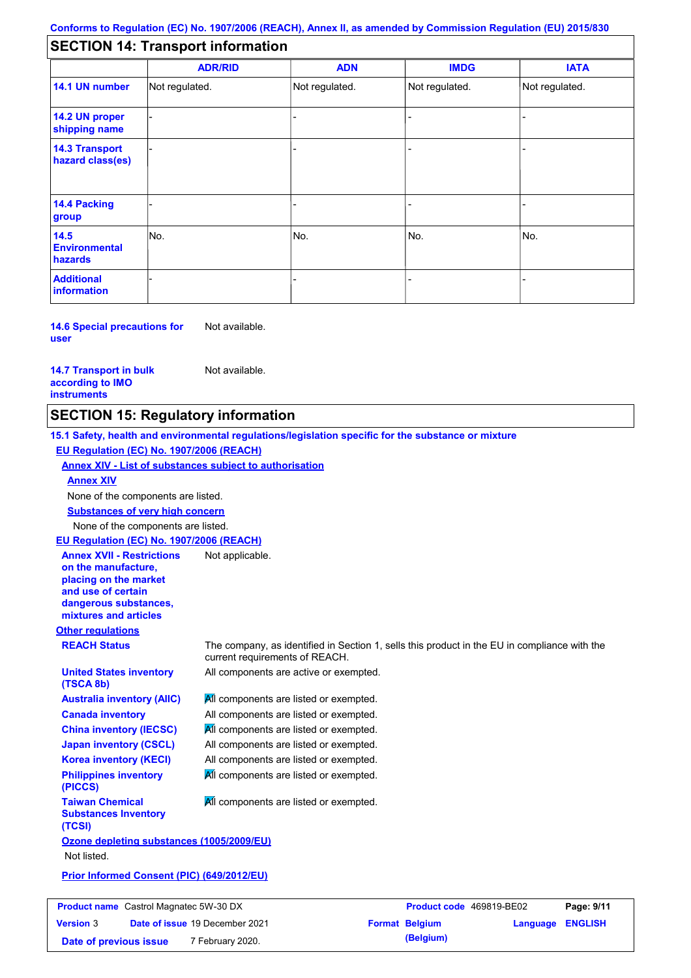### **SECTION 14: Transport information**

|                                           | <b>ADR/RID</b> | <b>ADN</b>     | <b>IMDG</b>    | <b>IATA</b>    |
|-------------------------------------------|----------------|----------------|----------------|----------------|
| 14.1 UN number                            | Not regulated. | Not regulated. | Not regulated. | Not regulated. |
| 14.2 UN proper<br>shipping name           |                |                | ۰              |                |
| <b>14.3 Transport</b><br>hazard class(es) |                |                | -              |                |
| 14.4 Packing<br>group                     |                |                |                |                |
| 14.5<br><b>Environmental</b><br>hazards   | No.            | No.            | No.            | No.            |
| <b>Additional</b><br><b>information</b>   |                |                | -              |                |

**14.6 Special precautions for user** Not available.

**14.7 Transport in bulk according to IMO instruments**

Not available.

### **SECTION 15: Regulatory information**

**15.1 Safety, health and environmental regulations/legislation specific for the substance or mixture EU Regulation (EC) No. 1907/2006 (REACH)**

**Annex XIV - List of substances subject to authorisation**

**Annex XIV**

None of the components are listed.

**Substances of very high concern**

None of the components are listed.

**EU Regulation (EC) No. 1907/2006 (REACH)** Not applicable.

**Annex XVII - Restrictions on the manufacture, placing on the market and use of certain dangerous substances, mixtures and articles**

**United States inventory** 

**Australia inventory (AIIC) Canada inventory China inventory (IECSC) Japan inventory (CSCL) Korea inventory (KECI) Philippines inventory** 

**Other regulations**

**(TSCA 8b)**

**(PICCS)**

**(TCSI)**

**Taiwan Chemical Substances Inventory** 

**REACH Status** The company, as identified in Section 1, sells this product in the EU in compliance with the current requirements of REACH.

All components are active or exempted.

**All components are listed or exempted.** All components are listed or exempted. **All components are listed or exempted.** All components are listed or exempted. All components are listed or exempted. All components are listed or exempted.

All components are listed or exempted.

**Ozone depleting substances (1005/2009/EU)** Not listed.

**Prior Informed Consent (PIC) (649/2012/EU)**

| <b>Product name</b> Castrol Magnatec 5W-30 DX |  | <b>Product code</b> 469819-BE02       |  | Page: 9/11            |                         |  |
|-----------------------------------------------|--|---------------------------------------|--|-----------------------|-------------------------|--|
| <b>Version 3</b>                              |  | <b>Date of issue 19 December 2021</b> |  | <b>Format Belgium</b> | <b>Language ENGLISH</b> |  |
| Date of previous issue                        |  | <sup>7</sup> February 2020.           |  | (Belgium)             |                         |  |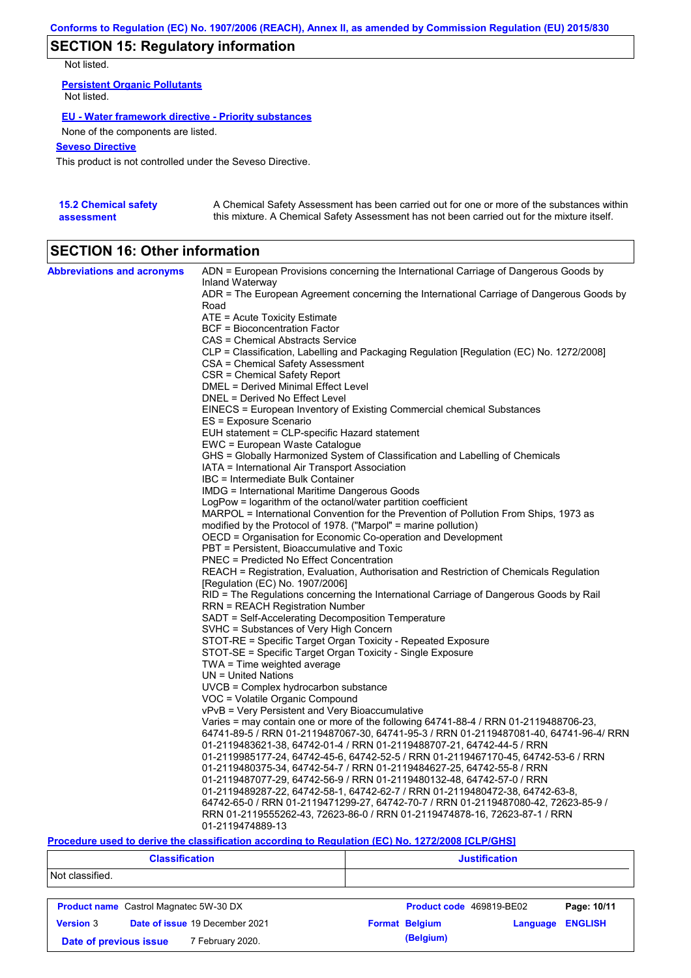# **SECTION 15: Regulatory information**

Not listed.

**Persistent Organic Pollutants** Not listed.

#### **EU - Water framework directive - Priority substances**

None of the components are listed.

#### **Seveso Directive**

This product is not controlled under the Seveso Directive.

| <b>15.2 Chemical safety</b> | A Chemical Safety Assessment has been carried out for one or more of the substances within  |
|-----------------------------|---------------------------------------------------------------------------------------------|
| assessment                  | this mixture. A Chemical Safety Assessment has not been carried out for the mixture itself. |

# **SECTION 16: Other information**

| <b>Abbreviations and acronyms</b> | ADN = European Provisions concerning the International Carriage of Dangerous Goods by                                                                      |
|-----------------------------------|------------------------------------------------------------------------------------------------------------------------------------------------------------|
|                                   | Inland Waterway<br>ADR = The European Agreement concerning the International Carriage of Dangerous Goods by                                                |
|                                   | Road                                                                                                                                                       |
|                                   | ATE = Acute Toxicity Estimate                                                                                                                              |
|                                   | BCF = Bioconcentration Factor                                                                                                                              |
|                                   | CAS = Chemical Abstracts Service                                                                                                                           |
|                                   | CLP = Classification, Labelling and Packaging Regulation [Regulation (EC) No. 1272/2008]                                                                   |
|                                   | CSA = Chemical Safety Assessment                                                                                                                           |
|                                   | CSR = Chemical Safety Report                                                                                                                               |
|                                   | DMEL = Derived Minimal Effect Level                                                                                                                        |
|                                   | DNEL = Derived No Effect Level                                                                                                                             |
|                                   | EINECS = European Inventory of Existing Commercial chemical Substances                                                                                     |
|                                   | ES = Exposure Scenario                                                                                                                                     |
|                                   | EUH statement = CLP-specific Hazard statement                                                                                                              |
|                                   | EWC = European Waste Catalogue                                                                                                                             |
|                                   | GHS = Globally Harmonized System of Classification and Labelling of Chemicals                                                                              |
|                                   | IATA = International Air Transport Association                                                                                                             |
|                                   | IBC = Intermediate Bulk Container                                                                                                                          |
|                                   | IMDG = International Maritime Dangerous Goods                                                                                                              |
|                                   | LogPow = logarithm of the octanol/water partition coefficient<br>MARPOL = International Convention for the Prevention of Pollution From Ships, 1973 as     |
|                                   | modified by the Protocol of 1978. ("Marpol" = marine pollution)                                                                                            |
|                                   | OECD = Organisation for Economic Co-operation and Development                                                                                              |
|                                   | PBT = Persistent, Bioaccumulative and Toxic                                                                                                                |
|                                   | <b>PNEC</b> = Predicted No Effect Concentration                                                                                                            |
|                                   | REACH = Registration, Evaluation, Authorisation and Restriction of Chemicals Regulation                                                                    |
|                                   | [Regulation (EC) No. 1907/2006]                                                                                                                            |
|                                   | RID = The Regulations concerning the International Carriage of Dangerous Goods by Rail                                                                     |
|                                   | RRN = REACH Registration Number                                                                                                                            |
|                                   | SADT = Self-Accelerating Decomposition Temperature                                                                                                         |
|                                   | SVHC = Substances of Very High Concern                                                                                                                     |
|                                   | STOT-RE = Specific Target Organ Toxicity - Repeated Exposure                                                                                               |
|                                   | STOT-SE = Specific Target Organ Toxicity - Single Exposure                                                                                                 |
|                                   | $TWA = Time$ weighted average                                                                                                                              |
|                                   | $UN = United Nations$                                                                                                                                      |
|                                   | UVCB = Complex hydrocarbon substance                                                                                                                       |
|                                   | VOC = Volatile Organic Compound                                                                                                                            |
|                                   | vPvB = Very Persistent and Very Bioaccumulative                                                                                                            |
|                                   | Varies = may contain one or more of the following 64741-88-4 / RRN 01-2119488706-23,                                                                       |
|                                   | 64741-89-5 / RRN 01-2119487067-30, 64741-95-3 / RRN 01-2119487081-40, 64741-96-4/ RRN                                                                      |
|                                   | 01-2119483621-38, 64742-01-4 / RRN 01-2119488707-21, 64742-44-5 / RRN                                                                                      |
|                                   | 01-2119985177-24, 64742-45-6, 64742-52-5 / RRN 01-2119467170-45, 64742-53-6 / RRN<br>01-2119480375-34, 64742-54-7 / RRN 01-2119484627-25, 64742-55-8 / RRN |
|                                   | 01-2119487077-29, 64742-56-9 / RRN 01-2119480132-48, 64742-57-0 / RRN                                                                                      |
|                                   | .01-2119489287-22, 64742-58-1, 64742-62-7 / RRN 01-2119480472-38, 64742-63-8                                                                               |
|                                   | 64742-65-0 / RRN 01-2119471299-27, 64742-70-7 / RRN 01-2119487080-42, 72623-85-9 /                                                                         |
|                                   | RRN 01-2119555262-43, 72623-86-0 / RRN 01-2119474878-16, 72623-87-1 / RRN                                                                                  |
|                                   | 01-2119474889-13                                                                                                                                           |

#### **Procedure used to derive the classification according to Regulation (EC) No. 1272/2008 [CLP/GHS]**

| <b>Classification</b>                      |                                               | <b>Justification</b>     |          |                |  |
|--------------------------------------------|-----------------------------------------------|--------------------------|----------|----------------|--|
| Not classified.                            |                                               |                          |          |                |  |
|                                            | <b>Product name</b> Castrol Magnatec 5W-30 DX | Product code 469819-BE02 |          | Page: 10/11    |  |
| <b>Version 3</b>                           | Date of issue 19 December 2021                | <b>Format Belgium</b>    | Language | <b>ENGLISH</b> |  |
| 7 February 2020.<br>Date of previous issue |                                               | (Belgium)                |          |                |  |